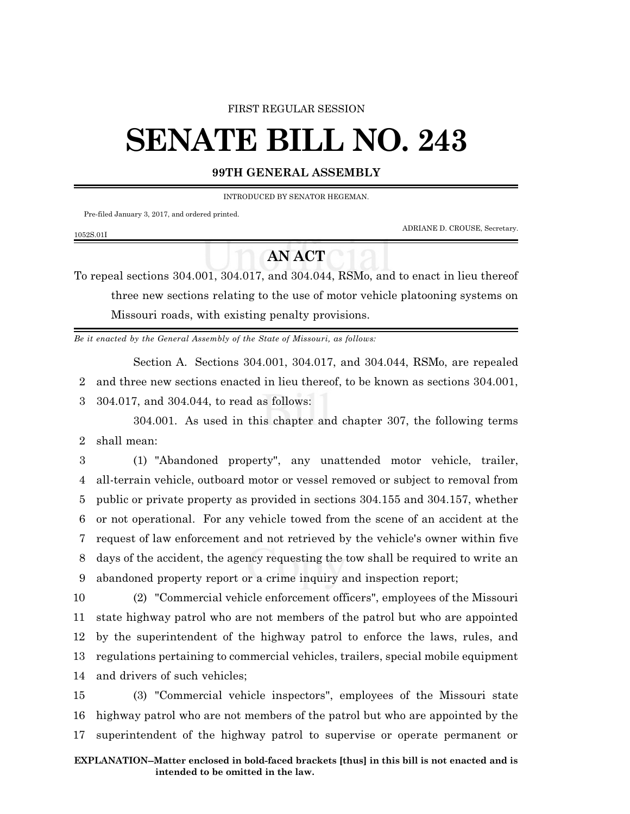## FIRST REGULAR SESSION

## **SENATE BILL NO. 243**

## **99TH GENERAL ASSEMBLY**

INTRODUCED BY SENATOR HEGEMAN.

Pre-filed January 3, 2017, and ordered printed.

1052S.01I

ADRIANE D. CROUSE, Secretary.

## **AN ACT**

To repeal sections 304.001, 304.017, and 304.044, RSMo, and to enact in lieu thereof three new sections relating to the use of motor vehicle platooning systems on Missouri roads, with existing penalty provisions.

*Be it enacted by the General Assembly of the State of Missouri, as follows:*

Section A. Sections 304.001, 304.017, and 304.044, RSMo, are repealed 2 and three new sections enacted in lieu thereof, to be known as sections 304.001, 3 304.017, and 304.044, to read as follows:

304.001. As used in this chapter and chapter 307, the following terms 2 shall mean:

 (1) "Abandoned property", any unattended motor vehicle, trailer, all-terrain vehicle, outboard motor or vessel removed or subject to removal from public or private property as provided in sections 304.155 and 304.157, whether or not operational. For any vehicle towed from the scene of an accident at the request of law enforcement and not retrieved by the vehicle's owner within five days of the accident, the agency requesting the tow shall be required to write an abandoned property report or a crime inquiry and inspection report;

 (2) "Commercial vehicle enforcement officers", employees of the Missouri state highway patrol who are not members of the patrol but who are appointed by the superintendent of the highway patrol to enforce the laws, rules, and regulations pertaining to commercial vehicles, trailers, special mobile equipment and drivers of such vehicles;

15 (3) "Commercial vehicle inspectors", employees of the Missouri state 16 highway patrol who are not members of the patrol but who are appointed by the 17 superintendent of the highway patrol to supervise or operate permanent or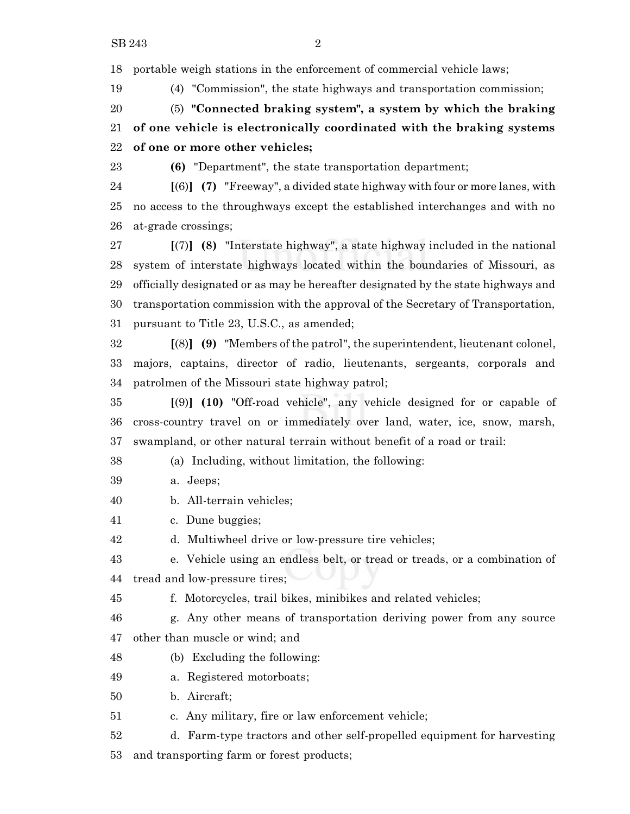portable weigh stations in the enforcement of commercial vehicle laws;

(4) "Commission", the state highways and transportation commission;

 (5) **"Connected braking system", a system by which the braking of one vehicle is electronically coordinated with the braking systems of one or more other vehicles;**

**(6)** "Department", the state transportation department;

 **[**(6)**] (7)** "Freeway", a divided state highway with four or more lanes, with no access to the throughways except the established interchanges and with no at-grade crossings;

 **[**(7)**] (8)** "Interstate highway", a state highway included in the national system of interstate highways located within the boundaries of Missouri, as officially designated or as may be hereafter designated by the state highways and transportation commission with the approval of the Secretary of Transportation, pursuant to Title 23, U.S.C., as amended;

 **[**(8)**] (9)** "Members of the patrol", the superintendent, lieutenant colonel, majors, captains, director of radio, lieutenants, sergeants, corporals and patrolmen of the Missouri state highway patrol;

 **[**(9)**] (10)** "Off-road vehicle", any vehicle designed for or capable of cross-country travel on or immediately over land, water, ice, snow, marsh, swampland, or other natural terrain without benefit of a road or trail:

(a) Including, without limitation, the following:

- a. Jeeps;
- b. All-terrain vehicles;

c. Dune buggies;

d. Multiwheel drive or low-pressure tire vehicles;

 e. Vehicle using an endless belt, or tread or treads, or a combination of tread and low-pressure tires;

f. Motorcycles, trail bikes, minibikes and related vehicles;

 g. Any other means of transportation deriving power from any source other than muscle or wind; and

- (b) Excluding the following:
- a. Registered motorboats;
- b. Aircraft;
- c. Any military, fire or law enforcement vehicle;

d. Farm-type tractors and other self-propelled equipment for harvesting

and transporting farm or forest products;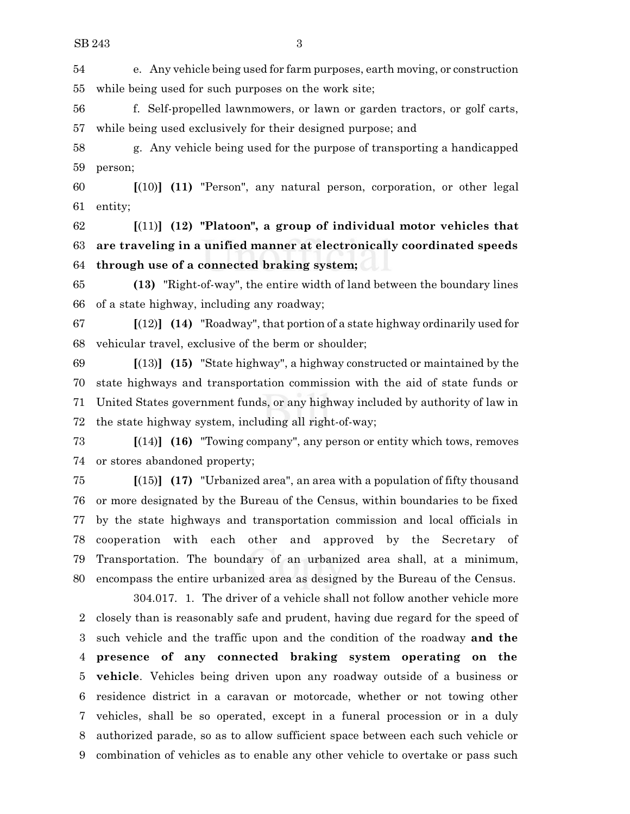e. Any vehicle being used for farm purposes, earth moving, or construction while being used for such purposes on the work site;

 f. Self-propelled lawnmowers, or lawn or garden tractors, or golf carts, while being used exclusively for their designed purpose; and

 g. Any vehicle being used for the purpose of transporting a handicapped person;

 **[**(10)**] (11)** "Person", any natural person, corporation, or other legal entity;

 **[**(11)**] (12) "Platoon", a group of individual motor vehicles that are traveling in a unified manner at electronically coordinated speeds through use of a connected braking system;**

 **(13)** "Right-of-way", the entire width of land between the boundary lines of a state highway, including any roadway;

 **[**(12)**] (14)** "Roadway", that portion of a state highway ordinarily used for vehicular travel, exclusive of the berm or shoulder;

 **[**(13)**] (15)** "State highway", a highway constructed or maintained by the state highways and transportation commission with the aid of state funds or United States government funds, or any highway included by authority of law in the state highway system, including all right-of-way;

 **[**(14)**] (16)** "Towing company", any person or entity which tows, removes or stores abandoned property;

 **[**(15)**] (17)** "Urbanized area", an area with a population of fifty thousand or more designated by the Bureau of the Census, within boundaries to be fixed by the state highways and transportation commission and local officials in cooperation with each other and approved by the Secretary of Transportation. The boundary of an urbanized area shall, at a minimum, encompass the entire urbanized area as designed by the Bureau of the Census.

304.017. 1. The driver of a vehicle shall not follow another vehicle more closely than is reasonably safe and prudent, having due regard for the speed of such vehicle and the traffic upon and the condition of the roadway **and the presence of any connected braking system operating on the vehicle**. Vehicles being driven upon any roadway outside of a business or residence district in a caravan or motorcade, whether or not towing other vehicles, shall be so operated, except in a funeral procession or in a duly authorized parade, so as to allow sufficient space between each such vehicle or combination of vehicles as to enable any other vehicle to overtake or pass such